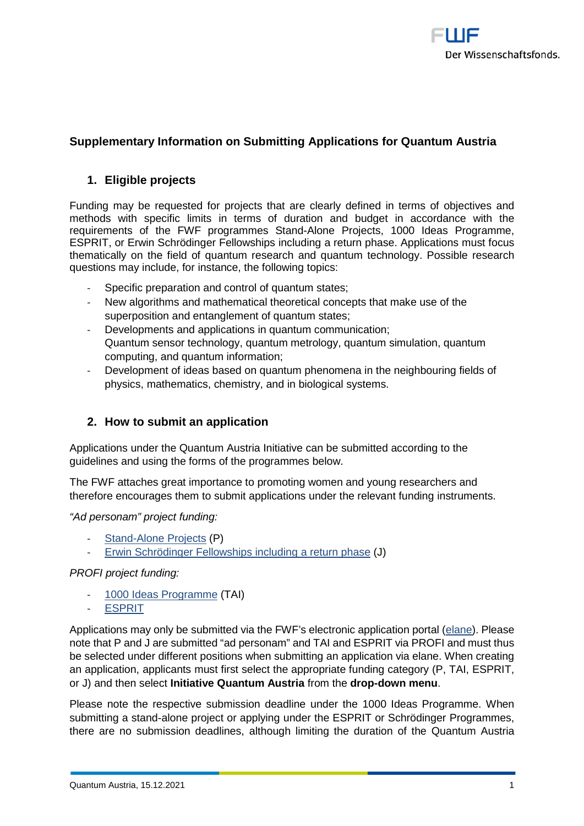

# **Supplementary Information on Submitting Applications for Quantum Austria**

#### **1. Eligible projects**

Funding may be requested for projects that are clearly defined in terms of objectives and methods with specific limits in terms of duration and budget in accordance with the requirements of the FWF programmes Stand-Alone Projects, 1000 Ideas Programme, ESPRIT, or Erwin Schrödinger Fellowships including a return phase. Applications must focus thematically on the field of quantum research and quantum technology. Possible research questions may include, for instance, the following topics:

- Specific preparation and control of quantum states;
- New algorithms and mathematical theoretical concepts that make use of the superposition and entanglement of quantum states;
- Developments and applications in quantum communication; Quantum sensor technology, quantum metrology, quantum simulation, quantum computing, and quantum information;
- Development of ideas based on quantum phenomena in the neighbouring fields of physics, mathematics, chemistry, and in biological systems.

### **2. How to submit an application**

Applications under the Quantum Austria Initiative can be submitted according to the guidelines and using the forms of the programmes below.

The FWF attaches great importance to promoting women and young researchers and therefore encourages them to submit applications under the relevant funding instruments.

*"Ad personam" project funding:*

- [Stand-Alone Projects](https://www.fwf.ac.at/en/research-funding/fwf-programmes/stand-alone-projects) (P)
- [Erwin Schrödinger Fellowships including a return phase](https://www.fwf.ac.at/en/research-funding/fwf-programmes/schroedinger-programme) (J)

*PROFI project funding:*

- [1000 Ideas Programme](https://www.fwf.ac.at/en/research-funding/fwf-programmes/1000-ideas-programme) (TAI)
- [ESPRIT](https://www.fwf.ac.at/en/research-funding/fwf-programmes/esprit-programme)

Applications may only be submitted via the FWF's electronic application portal [\(elane\)](https://elane.fwf.ac.at/page/panel/loginpanel?179). Please note that P and J are submitted "ad personam" and TAI and ESPRIT via PROFI and must thus be selected under different positions when submitting an application via elane. When creating an application, applicants must first select the appropriate funding category (P, TAI, ESPRIT, or J) and then select **Initiative Quantum Austria** from the **drop-down menu**.

Please note the respective submission deadline under the 1000 Ideas Programme. When submitting a stand-alone project or applying under the ESPRIT or Schrödinger Programmes, there are no submission deadlines, although limiting the duration of the Quantum Austria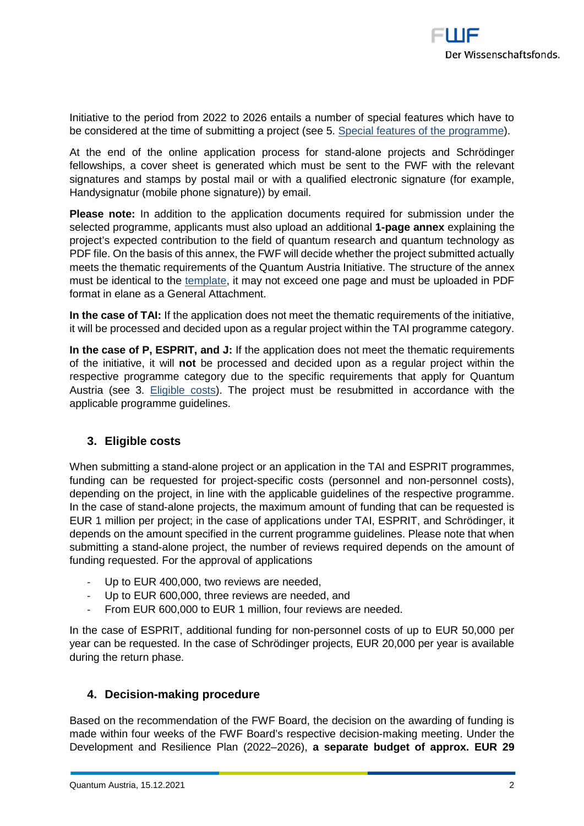

Initiative to the period from 2022 to 2026 entails a number of special features which have to be considered at the time of submitting a project (see 5. [Special features of the programme\)](#page-2-0).

At the end of the online application process for stand-alone projects and Schrödinger fellowships, a cover sheet is generated which must be sent to the FWF with the relevant signatures and stamps by postal mail or with a qualified electronic signature (for example, Handysignatur (mobile phone signature)) by email.

**Please note:** In addition to the application documents required for submission under the selected programme, applicants must also upload an additional **1-page annex** explaining the project's expected contribution to the field of quantum research and quantum technology as PDF file. On the basis of this annex, the FWF will decide whether the project submitted actually meets the thematic requirements of the Quantum Austria Initiative. The structure of the annex must be identical to the [template,](https://www.fwf.ac.at/fileadmin/files/Dokumente/Antragstellung/Quantum_Austria/quantum-austria_programmspezifischer-anhang.docx) it may not exceed one page and must be uploaded in PDF format in elane as a General Attachment.

**In the case of TAI:** If the application does not meet the thematic requirements of the initiative, it will be processed and decided upon as a regular project within the TAI programme category.

**In the case of P, ESPRIT, and J:** If the application does not meet the thematic requirements of the initiative, it will **not** be processed and decided upon as a regular project within the respective programme category due to the specific requirements that apply for Quantum Austria (see 3. [Eligible costs\)](#page-1-0). The project must be resubmitted in accordance with the applicable programme guidelines.

### <span id="page-1-0"></span>**3. Eligible costs**

When submitting a stand-alone project or an application in the TAI and ESPRIT programmes, funding can be requested for project-specific costs (personnel and non-personnel costs), depending on the project, in line with the applicable guidelines of the respective programme. In the case of stand-alone projects, the maximum amount of funding that can be requested is EUR 1 million per project; in the case of applications under TAI, ESPRIT, and Schrödinger, it depends on the amount specified in the current programme guidelines. Please note that when submitting a stand-alone project, the number of reviews required depends on the amount of funding requested. For the approval of applications

- Up to EUR 400,000, two reviews are needed,
- Up to EUR 600,000, three reviews are needed, and
- From EUR 600,000 to EUR 1 million, four reviews are needed.

In the case of ESPRIT, additional funding for non-personnel costs of up to EUR 50,000 per year can be requested. In the case of Schrödinger projects, EUR 20,000 per year is available during the return phase.

### **4. Decision-making procedure**

Based on the recommendation of the FWF Board, the decision on the awarding of funding is made within four weeks of the FWF Board's respective decision-making meeting. Under the Development and Resilience Plan (2022–2026), **a separate budget of approx. EUR 29**